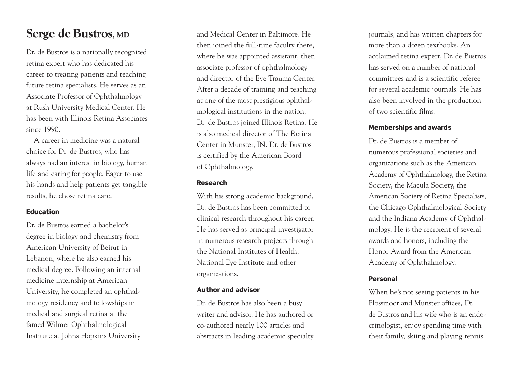## Serge de Bustros, MD

Dr. de Bustros is a nationally recognized retina expert who has dedicated his career to treating patients and teaching future retina specialists. He serves as an Associate Professor of Ophthalmology at Rush University Medical Center. He has been with Illinois Retina Associates since 1990.

A career in medicine was a natural choice for Dr. de Bustros, who has always had an interest in biology, human life and caring for people. Eager to use his hands and help patients get tangible results, he chose retina care.

## **E d u c a t i o n**

Dr. de Bustros earned a bachelor's degree in biology and chemistry from American University of Beirut in Lebanon, where he also earned his medical degree. Following an internal medicine internship at American University, he completed an ophthalmology residency and fellowships in medical and surgical retina at the famed Wilmer Ophthalmological Institute at Iohns Hopkins University and Medical Center in Baltimore. He then joined the full-time faculty there, where he was appointed assistant, then associate professor of ophthalmology and director of the Eve Trauma Center. After a decade of training and teaching at one of the most prestigious ophthalmological institutions in the nation, Dr. de Bustros joined Illinois Retina. He is also medical director of The Retina Center in Munster, IN. Dr. de Bustros is certified by the American Board of Ophthalmology.

## **R e s e a r c h**

With his strong academic background, Dr. de Bustros has been committed to clinical research throughout his career. He has served as principal investigator in numerous research projects through the National Institutes of Health, National Eve Institute and other o r g a n i z a t i o n s .

### **Author and advisor**

Dr. de Bustros has also been a busy writer and advisor. He has authored or co-authored nearly 100 articles and abstracts in leading academic specialty journals, and has written chapters for more than a dozen textbooks. An acclaimed retina expert. Dr. de Bustros has served on a number of national committees and is a scientific referee for several academic journals. He has also been involved in the production of two scientific films.

### **Memberships and awards**

Dr. de Bustros is a member of numerous professional societies and organizations such as the American Academy of Ophthalmology, the Retina Society, the Macula Society, the American Society of Retina Specialists, the Chicago Ophthalmological Society and the Indiana Academy of Ophthalmology. He is the recipient of several awards and honors, including the Honor Award from the American Academy of Ophthalmology.

### **P e r s o n a l**

When he's not seeing patients in his Flossmoor and Munster offices, Dr. de Bustros and his wife who is an endocrinologist, enjoy spending time with their family, skiing and playing tennis.